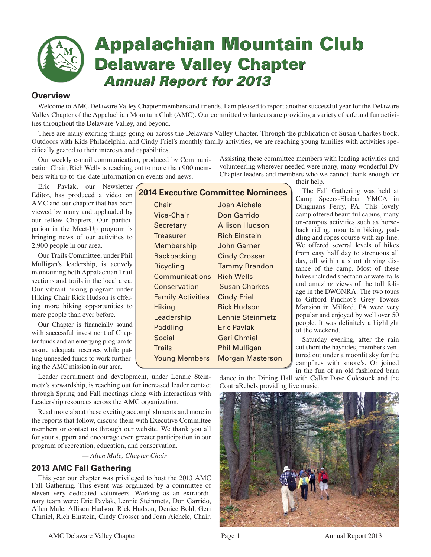

# **Appalachian Mountain Club Delaware Valley Chapter** *Annual Report for 2013 Annual Report for 2013*

## **Overview**

Welcome to AMC Delaware Valley Chapter members and friends. I am pleased to report another successful year for the Delaware Valley Chapter of the Appalachian Mountain Club (AMC). Our committed volunteers are providing a variety of safe and fun activities throughout the Delaware Valley, and beyond.

There are many exciting things going on across the Delaware Valley Chapter. Through the publication of Susan Charkes book, Outdoors with Kids Philadelphia, and Cindy Friel's monthly family activities, we are reaching young families with activities specifically geared to their interests and capabilities.

Our weekly e-mail communication, produced by Communication Chair, Rich Wells is reaching out to more than 900 members with up-to-the-date information on events and news.

Eric Pavlak, our Newsletter Editor, has produced a video on AMC and our chapter that has been viewed by many and applauded by our fellow Chapters. Our participation in the Meet-Up program is bringing news of our activities to 2,900 people in our area.

Our Trails Committee, under Phil Mulligan's leadership, is actively maintaining both Appalachian Trail sections and trails in the local area. Our vibrant hiking program under Hiking Chair Rick Hudson is offering more hiking opportunities to more people than ever before.

Our Chapter is financially sound with successful investment of Chapter funds and an emerging program to assure adequate reserves while putting unneeded funds to work furthering the AMC mission in our area.

|               |                          | <b>2014 Executive Committee Nominees</b> |
|---------------|--------------------------|------------------------------------------|
| Chair         |                          | Joan Aichele                             |
|               | Vice-Chair               | Don Garrido                              |
|               | Secretary                | Allison Hudson                           |
|               | <b>Treasurer</b>         | <b>Rich Einstein</b>                     |
|               | <b>Membership</b>        | John Garner                              |
|               | <b>Backpacking</b>       | <b>Cindy Crosser</b>                     |
|               | <b>Bicycling</b>         | <b>Tammy Brandon</b>                     |
|               | <b>Communications</b>    | <b>Rich Wells</b>                        |
|               | Conservation             | <b>Susan Charkes</b>                     |
|               | <b>Family Activities</b> | <b>Cindy Friel</b>                       |
|               | <b>Hiking</b>            | <b>Rick Hudson</b>                       |
|               | Leadership               | Lennie Steinmetz                         |
|               | Paddling                 | Eric Pavlak                              |
|               | Social                   | Geri Chmiel                              |
| <b>Trails</b> |                          | Phil Mulligan                            |
|               | <b>Young Members</b>     | <b>Morgan Masterson</b>                  |
|               |                          |                                          |

Assisting these committee members with leading activities and volunteering wherever needed were many, many wonderful DV Chapter leaders and members who we cannot thank enough for

their help.

The Fall Gathering was held at Camp Speers-Eljabar YMCA in Dingmans Ferry, PA. This lovely camp offered beautiful cabins, many on-campus activities such as horseback riding, mountain biking, paddling and ropes course with zip-line. We offered several levels of hikes from easy half day to strenuous all day, all within a short driving distance of the camp. Most of these hikes included spectacular waterfalls and amazing views of the fall foliage in the DWGNRA. The two tours to Gifford Pinchot's Grey Towers Mansion in Milford, PA were very popular and enjoyed by well over 50 people. It was definitely a highlight of the weekend.

Saturday evening, after the rain cut short the hayrides, members ventured out under a moonlit sky for the campfires with smore's. Or joined in the fun of an old fashioned barn

Leader recruitment and development, under Lennie Steinmetz's stewardship, is reaching out for increased leader contact through Spring and Fall meetings along with interactions with Leadership resources across the AMC organization.

Read more about these exciting accomplishments and more in the reports that follow, discuss them with Executive Committee members or contact us through our website. We thank you all for your support and encourage even greater participation in our program of recreation, education, and conservation.

 *— Allen Male, Chapter Chair*

# **2013 AMC Fall Gathering**

This year our chapter was privileged to host the 2013 AMC Fall Gathering. This event was organized by a committee of eleven very dedicated volunteers. Working as an extraordinary team were: Eric Pavlak, Lennie Steinmetz, Don Garrido, Allen Male, Allison Hudson, Rick Hudson, Denice Bohl, Geri Chmiel, Rich Einstein, Cindy Crosser and Joan Aichele, Chair.

dance in the Dining Hall with Caller Dave Colestock and the ContraRebels providing live music.

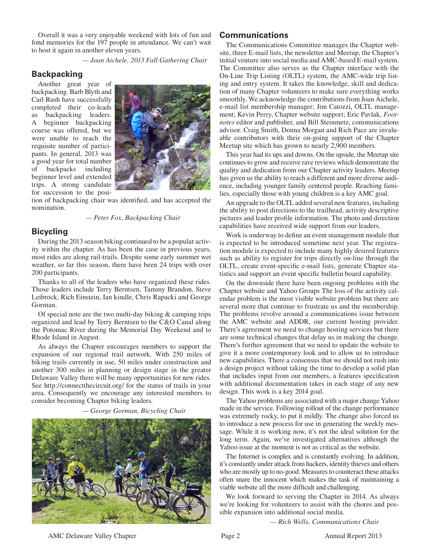Overall it was a very enjoyable weekend with lots of fun and fond memories for the 197 people in attendance. We can't wait to host it again in another eleven years.

 *— Joan Aichele, 2013 Fall Gathering Chair*

#### **Backpacking**

Another great year of backpacking. Barb Blyth and Carl Rush have successfully completed their co-leads as backpacking leaders. A beginner backpacking course was offered, but we were unable to reach the requisite number of participants. In general, 2013 was a good year for total number of backpacks including beginner level and extended trips. A strong candidate for succession to the posi-



tion of backpacking chair was identified, and has accepted the nomination.

 *— Peter Fox, Backpacking Chair* 

#### **Bicycling**

During the 2013 season biking continued to be a popular activity within the chapter. As has been the case in previous years, most rides are along rail-trails. Despite some early summer wet weather, so far this season, there have been 24 trips with over 200 participants.

Thanks to all of the leaders who have organized these rides. Those leaders include Terry Berntsen, Tammy Brandon, Steve Leibrock, Rich Einstein, Ian kindle, Chris Rapacki and George Gorman.

Of special note are the two multi-day biking & camping trips organized and lead by Terry Berntsen to the C&O Canal along the Potomac River during the Memorial Day Weekend and to Rhode Island in August.

As always the Chapter encourages members to support the expansion of our regional trail network. With 250 miles of biking trails currently in use, 50 miles under construction and another 300 miles in planning or design stage in the greater Delaware Valley there will be many opportunities for new rides. See http://connectthecircuit.org/ for the status of trails in your area. Consequently we encourage any interested members to consider becoming Chapter biking leaders.

 *— George Gorman, Bicycling Chair* 



#### **Communications**

The Communications Committee manages the Chapter website, three E-mail lists, the newsletter and Meetup, the Chapter's initial venture into social media and AMC-based E-mail system. The Committee also serves as the Chapter interface with the On-Line Trip Listing (OLTL) system, the AMC-wide trip listing and entry system. It takes the knowledge, skill and dedication of many Chapter volunteers to make sure everything works smoothly. We acknowledge the contributions from Joan Aichele, e-mail list membership manager; Jim Catozzi, OLTL management; Kevin Perry, Chapter website support; Eric Pavlak, *Footnotes* editor and publisher, and Bill Steinmetz, communications advisor. Craig Smith, Donna Morgan and Rich Pace are invaluable contributors with their on-going support of the Chapter Meetup site which has grown to nearly 2,900 members.

This year had its ups and downs. On the upside, the Meetup site continues to grow and receive rave reviews which demonstrate the quality and dedication from our Chapter activity leaders. Meetup has given us the ability to reach a different and more diverse audience, including younger family centered people. Reaching families, especially those with young children is a key AMC goal.

An upgrade to the OLTL added several new features, including the ability to post directions to the trailhead, activity descriptive pictures and leader profile information. The photo and direction capabilities have received wide support from our leaders.

Work is underway to define an event management module that is expected to be introduced sometime next year. The registration module is expected to include many highly desired features such as ability to register for trips directly on-line through the OLTL, create event-specific e-mail lists, generate Chapter statistics and support an event specific bulletin board capability.

On the downside there have been ongoing problems with the Chapter website and Yahoo Groups The loss of the activity calendar problem is the most visible website problem but there are several more that continue to frustrate us and the membership. The problems revolve around a communications issue between the AMC website and ADDR, our current hosting provider. There's agreement we need to change hosting services but there are some technical changes that delay us in making the change. There's further agreement that we need to update the website to give it a more contemporary look and to allow us to introduce new capabilities. There a consensus that we should not rush into a design project without taking the time to develop a solid plan that includes input from our members, a features specification with additional documentation takes in each stage of any new design. This work is a key 2014 goal.

The Yahoo problems are associated with a major change Yahoo made in the service. Following rollout of the change performance was extremely rocky, to put it mildly. The change also forced us to introduce a new process for use in generating the weekly message. While it is working now, it's not the ideal solution for the long term. Again, we've investigated alternatives although the Yahoo issue at the moment is not as critical as the website.

The Internet is complex and is constantly evolving. In addition, it's constantly under attack from hackers, identity thieves and others who are mostly up to no-good. Measures to counteract these attacks often snare the innocent which makes the task of maintaining a viable website all the more difficult and challenging.

We look forward to serving the Chapter in 2014. As always we're looking for volunteers to assist with the chores and possible expansion into additional social media.

 *— Rich Wells, Communications Chair*

AMC Delaware Valley Chapter **Page 2** Annual Report 2013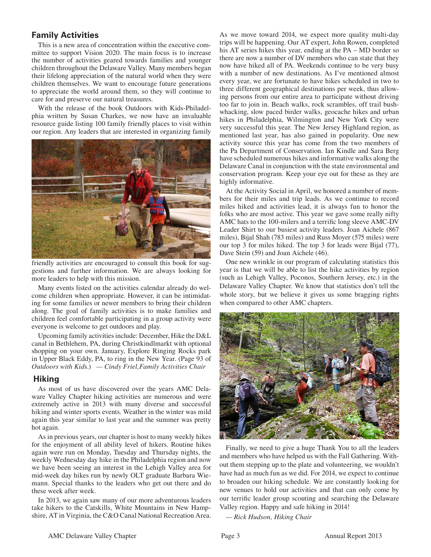## **Family Activities**

This is a new area of concentration within the executive committee to support Vision 2020. The main focus is to increase the number of activities geared towards families and younger children throughout the Delaware Valley. Many members began their lifelong appreciation of the natural world when they were children themselves. We want to encourage future generations to appreciate the world around them, so they will continue to care for and preserve our natural treasures.

With the release of the book Outdoors with Kids-Philadelphia written by Susan Charkes, we now have an invaluable resource guide listing 100 family friendly places to visit within our region. Any leaders that are interested in organizing family



friendly activities are encouraged to consult this book for suggestions and further information. We are always looking for more leaders to help with this mission.

Many events listed on the activities calendar already do welcome children when appropriate. However, it can be intimidating for some families or newer members to bring their children along. The goal of family activities is to make families and children feel comfortable participating in a group activity were everyone is welcome to get outdoors and play.

Upcoming family activities include: December, Hike the D&L canal in Bethlehem, PA, during Christkindlmarkt with optional shopping on your own. January, Explore Ringing Rocks park in Upper Black Eddy, PA, to ring in the New Year. (Page 93 of *Outdoors with Kid*s.) *— Cindy Friel,Family Activities Chair*

#### **Hiking**

As most of us have discovered over the years AMC Delaware Valley Chapter hiking activities are numerous and were extremely active in 2013 with many diverse and successful hiking and winter sports events. Weather in the winter was mild again this year similar to last year and the summer was pretty hot again.

As in previous years, our chapter is host to many weekly hikes for the enjoyment of all ability level of hikers. Routine hikes again were run on Monday, Tuesday and Thursday nights, the weekly Wednesday day hike in the Philadelphia region and now we have been seeing an interest in the Lehigh Valley area for mid-week day hikes run by newly OLT graduate Barbara Wiemann. Special thanks to the leaders who get out there and do these week after week.

In 2013, we again saw many of our more adventurous leaders take hikers to the Catskills, White Mountains in New Hampshire, AT in Virginia, the C&O Canal National Recreation Area. As we move toward 2014, we expect more quality multi-day trips will be happening. Our AT expert, John Rowen, completed his AT series hikes this year, ending at the PA – MD border so there are now a number of DV members who can state that they now have hiked all of PA. Weekends continue to be very busy with a number of new destinations. As I've mentioned almost every year, we are fortunate to have hikes scheduled in two to three different geographical destinations per week, thus allowing persons from our entire area to participate without driving too far to join in. Beach walks, rock scrambles, off trail bushwhacking, slow paced birder walks, geocache hikes and urban hikes in Philadelphia, Wilmington and New York City were very successful this year. The New Jersey Highland region, as mentioned last year, has also gained in popularity. One new activity source this year has come from the two members of the Pa Department of Conservation. Ian Kindle and Sara Berg have scheduled numerous hikes and informative walks along the Delaware Canal in conjunction with the state environmental and conservation program. Keep your eye out for these as they are highly informative.

At the Activity Social in April, we honored a number of members for their miles and trip leads. As we continue to record miles hiked and activities lead, it is always fun to honor the folks who are most active. This year we gave some really nifty AMC hats to the 100-milers and a terrific long sleeve AMC-DV Leader Shirt to our busiest activity leaders. Joan Aichele (867 miles), Bijal Shah (783 miles) and Russ Moyer (575 miles) were our top 3 for miles hiked. The top 3 for leads were Bijal (77), Dave Stein (59) and Joan Aichele (46).

One new wrinkle in our program of calculating statistics this year is that we will be able to list the hike activities by region (such as Lehigh Valley, Poconos, Southern Jersey, etc.) in the Delaware Valley Chapter. We know that statistics don't tell the whole story, but we believe it gives us some bragging rights when compared to other AMC chapters.



Finally, we need to give a huge Thank You to all the leaders and members who have helped us with the Fall Gathering. Without them stepping up to the plate and volunteering, we wouldn't have had as much fun as we did. For 2014, we expect to continue to broaden our hiking schedule. We are constantly looking for new venues to hold our activities and that can only come by our terrific leader group scouting and searching the Delaware Valley region. Happy and safe hiking in 2014!

*— Rick Hudson, Hiking Chair*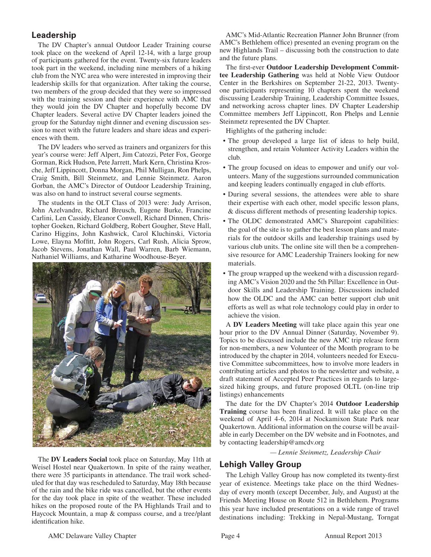# **Leadership**

The DV Chapter's annual Outdoor Leader Training course took place on the weekend of April 12-14, with a large group of participants gathered for the event. Twenty-six future leaders took part in the weekend, including nine members of a hiking club from the NYC area who were interested in improving their leadership skills for that organization. After taking the course, two members of the group decided that they were so impressed with the training session and their experience with AMC that they would join the DV Chapter and hopefully become DV Chapter leaders. Several active DV Chapter leaders joined the group for the Saturday night dinner and evening discussion session to meet with the future leaders and share ideas and experiences with them.

The DV leaders who served as trainers and organizers for this year's course were: Jeff Alpert, Jim Catozzi, Peter Fox, George Gorman, Rick Hudson, Pete Jarrett, Mark Kern, Christina Krosche, Jeff Lippincott, Donna Morgan, Phil Mulligan, Ron Phelps, Craig Smith, Bill Steinmetz, and Lennie Steinmetz. Aaron Gorban, the AMC's Director of Outdoor Leadership Training, was also on hand to instruct several course segments.

The students in the OLT Class of 2013 were: Judy Arrison, John Azelvandre, Richard Breusch, Eugene Burke, Francine Carlini, Len Cassidy, Eleanor Conwell, Richard Dinnen, Christopher Goeken, Richard Goldberg, Robert Gougher, Steve Hall, Carino Higgins, John Kashwick, Carol Kluchinski, Victoria Lowe, Elayna Moffitt, John Rogers, Carl Rush, Alicia Sprow, Jacob Stevens, Jonathan Wall, Paul Warren, Barb Wiemann, Nathaniel Williams, and Katharine Woodhouse-Beyer.



The **DV Leaders Social** took place on Saturday, May 11th at Weisel Hostel near Quakertown. In spite of the rainy weather, there were 35 participants in attendance. The trail work scheduled for that day was rescheduled to Saturday, May 18th because of the rain and the bike ride was cancelled, but the other events for the day took place in spite of the weather. These included hikes on the proposed route of the PA Highlands Trail and to Haycock Mountain, a map & compass course, and a tree/plant identification hike.

AMC's Mid-Atlantic Recreation Planner John Brunner (from AMC's Bethlehem office) presented an evening program on the new Highlands Trail – discussing both the construction to date and the future plans.

The first-ever **Outdoor Leadership Development Committee Leadership Gathering** was held at Noble View Outdoor Center in the Berkshires on September 21-22, 2013. Twentyone participants representing 10 chapters spent the weekend discussing Leadership Training, Leadership Committee Issues, and networking across chapter lines. DV Chapter Leadership Committee members Jeff Lippincott, Ron Phelps and Lennie Steinmetz represented the DV Chapter.

Highlights of the gathering include:

- The group developed a large list of ideas to help build, strengthen, and retain Volunteer Activity Leaders within the club.
- The group focused on ideas to empower and unify our volunteers. Many of the suggestions surrounded communication and keeping leaders continually engaged in club efforts.
- During several sessions, the attendees were able to share their expertise with each other, model specific lesson plans, & discuss different methods of presenting leadership topics.
- The OLDC demonstrated AMC's Sharepoint capabilities: the goal of the site is to gather the best lesson plans and materials for the outdoor skills and leadership trainings used by various club units. The online site will then be a comprehensive resource for AMC Leadership Trainers looking for new materials.
- The group wrapped up the weekend with a discussion regarding AMC's Vision 2020 and the 5th Pillar: Excellence in Outdoor Skills and Leadership Training. Discussions included how the OLDC and the AMC can better support club unit efforts as well as what role technology could play in order to achieve the vision.

A **DV Leaders Meeting** will take place again this year one hour prior to the DV Annual Dinner (Saturday, November 9). Topics to be discussed include the new AMC trip release form for non-members, a new Volunteer of the Month program to be introduced by the chapter in 2014, volunteers needed for Executive Committee subcommittees, how to involve more leaders in contributing articles and photos to the newsletter and website, a draft statement of Accepted Peer Practices in regards to largesized hiking groups, and future proposed OLTL (on-line trip listings) enhancements

The date for the DV Chapter's 2014 **Outdoor Leadership Training** course has been finalized. It will take place on the weekend of April 4-6, 2014 at Nockamixon State Park near Quakertown. Additional information on the course will be available in early December on the DV website and in Footnotes, and by contacting leadership@amcdv.org

 *— Lennie Steinmetz, Leadership Chair*

## **Lehigh Valley Group**

The Lehigh Valley Group has now completed its twenty-first year of existence. Meetings take place on the third Wednesday of every month (except December, July, and August) at the Friends Meeting House on Route 512 in Bethlehem. Programs this year have included presentations on a wide range of travel destinations including: Trekking in Nepal-Mustang, Torngat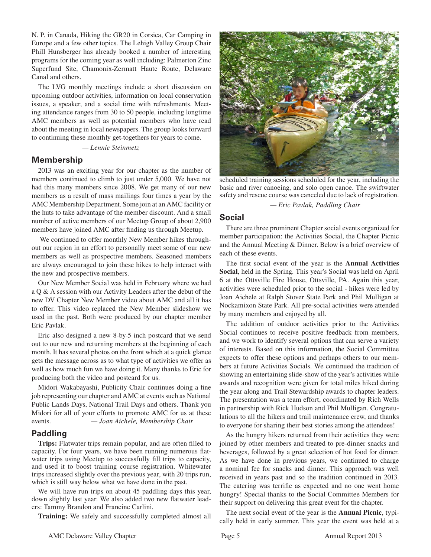N. P. in Canada, Hiking the GR20 in Corsica, Car Camping in Europe and a few other topics. The Lehigh Valley Group Chair Phill Hunsberger has already booked a number of interesting programs for the coming year as well including: Palmerton Zinc Superfund Site, Chamonix-Zermatt Haute Route, Delaware Canal and others.

The LVG monthly meetings include a short discussion on upcoming outdoor activities, information on local conservation issues, a speaker, and a social time with refreshments. Meeting attendance ranges from 30 to 50 people, including longtime AMC members as well as potential members who have read about the meeting in local newspapers. The group looks forward to continuing these monthly get-togethers for years to come.

 *— Lennie Steinmetz*

#### **Membership**

2013 was an exciting year for our chapter as the number of members continued to climb to just under 5,000. We have not had this many members since 2008. We get many of our new members as a result of mass mailings four times a year by the AMC Membership Department. Some join at an AMC facility or the huts to take advantage of the member discount. And a small number of active members of our Meetup Group of about 2,900 members have joined AMC after finding us through Meetup.

 We continued to offer monthly New Member hikes throughout our region in an effort to personally meet some of our new members as well as prospective members. Seasoned members are always encouraged to join these hikes to help interact with the new and prospective members.

Our New Member Social was held in February where we had a Q & A session with our Activity Leaders after the debut of the new DV Chapter New Member video about AMC and all it has to offer. This video replaced the New Member slideshow we used in the past. Both were produced by our chapter member Eric Pavlak.

Eric also designed a new 8-by-5 inch postcard that we send out to our new and returning members at the beginning of each month. It has several photos on the front which at a quick glance gets the message across as to what type of activities we offer as well as how much fun we have doing it. Many thanks to Eric for producing both the video and postcard for us.

Midori Wakabayashi, Publicity Chair continues doing a fine job representing our chapter and AMC at events such as National Public Lands Days, National Trail Days and others. Thank you Midori for all of your efforts to promote AMC for us at these events. *— Joan Aichele, Membership Chair*

## **Paddling**

**Trips:** Flatwater trips remain popular, and are often filled to capacity. For four years, we have been running numerous flatwater trips using Meetup to successfully fill trips to capacity, and used it to boost training course registration. Whitewater trips increased slightly over the previous year, with 20 trips run, which is still way below what we have done in the past.

We will have run trips on about 45 paddling days this year, down slightly last year. We also added two new flatwater leaders: Tammy Brandon and Francine Carlini.

**Training:** We safely and successfully completed almost all



scheduled training sessions scheduled for the year, including the basic and river canoeing, and solo open canoe. The swiftwater safety and rescue course was canceled due to lack of registration.

 *— Eric Pavlak, Paddling Chair*

#### **Social**

There are three prominent Chapter social events organized for member participation: the Activities Social, the Chapter Picnic and the Annual Meeting & Dinner. Below is a brief overview of each of these events.

The first social event of the year is the **Annual Activities Social**, held in the Spring. This year's Social was held on April 6 at the Ottsville Fire House, Ottsville, PA. Again this year, activities were scheduled prior to the social - hikes were led by Joan Aichele at Ralph Stover State Park and Phil Mulligan at Nockamixon State Park. All pre-social activities were attended by many members and enjoyed by all.

The addition of outdoor activities prior to the Activities Social continues to receive positive feedback from members, and we work to identify several options that can serve a variety of interests. Based on this information, the Social Committee expects to offer these options and perhaps others to our members at future Activities Socials. We continued the tradition of showing an entertaining slide-show of the year's activities while awards and recognition were given for total miles hiked during the year along and Trail Stewardship awards to chapter leaders. The presentation was a team effort, coordinated by Rich Wells in partnership with Rick Hudson and Phil Mulligan. Congratulations to all the hikers and trail maintenance crew, and thanks to everyone for sharing their best stories among the attendees!

As the hungry hikers returned from their activities they were joined by other members and treated to pre-dinner snacks and beverages, followed by a great selection of hot food for dinner. As we have done in previous years, we continued to charge a nominal fee for snacks and dinner. This approach was well received in years past and so the tradition continued in 2013. The catering was terrific as expected and no one went home hungry! Special thanks to the Social Committee Members for their support on delivering this great event for the chapter.

The next social event of the year is the **Annual Picnic**, typically held in early summer. This year the event was held at a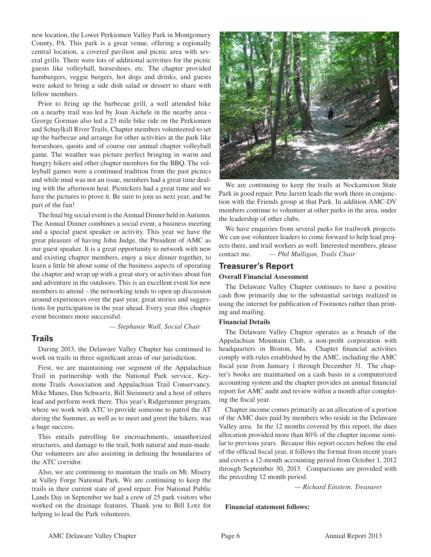new location, the Lower Perkiomen Valley Park in Montgomery County, PA. This park is a great venue, offering a regionally central location, a covered pavilion and picnic area with several grills. There were lots of additional activities for the picnic guests like volleyball, horseshoes, etc. The chapter provided hamburgers, veggie burgers, hot dogs and drinks, and guests were asked to bring a side dish salad or dessert to share with fellow members.

Prior to firing up the barbecue grill, a well attended hike on a nearby trail was led by Joan Aichele in the nearby area - George Gorman also led a 23 mile bike ride on the Perkiomen and Schuylkill River Trails, Chapter members volunteered to set up the barbecue and arrange for other activities at the park like horseshoes, quoits and of course our annual chapter volleyball game. The weather was picture perfect bringing in warm and hungry hikers and other chapter members for the BBQ. The volleyball games were a continued tradition from the past picnics and while mud was not an issue, members had a great time dealing with the afternoon heat. Picnickers had a great time and we have the pictures to prove it. Be sure to join us next year, and be part of the fun!

The final big social event is the Annual Dinner held in Autumn. The Annual Dinner combines a social event, a business meeting and a special guest speaker or activity. This year we have the great pleasure of having John Judge, the President of AMC as our guest speaker. It is a great opportunity to network with new and existing chapter members, enjoy a nice dinner together, to learn a little bit about some of the business aspects of operating the chapter and wrap up with a great story or activities about fun and adventure in the outdoors. This is an excellent event for new members to attend – the networking tends to open up discussion around experiences over the past year, great stories and suggestions for participation in the year ahead. Every year this chapter event becomes more successful.

 *— Stephanie Wall, Social Chair*

## **Trails**

During 2013, the Delaware Valley Chapter has continued to work on trails in three significant areas of our jurisdiction.

First, we are maintaining our segment of the Appalachian Trail in partnership with the National Park service, Keystone Trails Association and Appalachian Trail Conservancy. Mike Manes, Dan Schwartz, Bill Steinmetz and a host of others lead and perform work there. This year's Ridgerunner program, where we work with ATC to provide someone to patrol the AT during the Summer, as well as to meet and greet the hikers, was a huge success.

This entails patrolling for encroachments, unauthorized structures, and damage to the trail, both natural and man-made. Our volunteers are also assisting in defining the boundaries of the ATC corridor.

Also, we are continuing to maintain the trails on Mt. Misery at Valley Forge National Park. We are continuing to keep the trails in their current state of good repair. For National Public Lands Day in September we had a crew of 25 park visitors who worked on the drainage features. Thank you to Bill Lotz for helping to lead the Park volunteers.



We are continuing to keep the trails at Nockamixon State Park in good repair. Pete Jarrett leads the work there in conjunction with the Friends group at that Park. In addition AMC-DV members continue to volunteer at other parks in the area, under the leadership of other clubs.

We have enquiries from several parks for trailwork projects. We can use volunteer leaders to come forward to help lead projects there, and trail workers as well. Interested members, please contact me. *— Phil Mulligan, Trails Chair*

## **Treasurer's Report**

#### **Overall Financial Assessment**

The Delaware Valley Chapter continues to have a positive cash flow primarily due to the substantial savings realized in using the internet for publication of Footnotes rather than printing and mailing.

#### **Financial Details**

The Delaware Valley Chapter operates as a branch of the Appalachian Mountain Club, a non-profit corporation with headquarters in Boston, Ma. Chapter financial activities comply with rules established by the AMC, including the AMC fiscal year from January 1 through December 31. The chapter's books are maintained on a cash basis in a computerized accounting system and the chapter provides an annual financial report for AMC audit and review within a month after completing the fiscal year.

Chapter income comes primarily as an allocation of a portion of the AMC dues paid by members who reside in the Delaware Valley area. In the 12 months covered by this report, the dues allocation provided more than 80% of the chapter income similar to previous years. Because this report occurs before the end of the official fiscal year, it follows the format from recent years and covers a 12-month accounting period from October 1, 2012 through September 30, 2013. Comparisons are provided with the preceding 12 month period.

 *— Richard Einstein, Treasurer* 

**Financial statement follows:**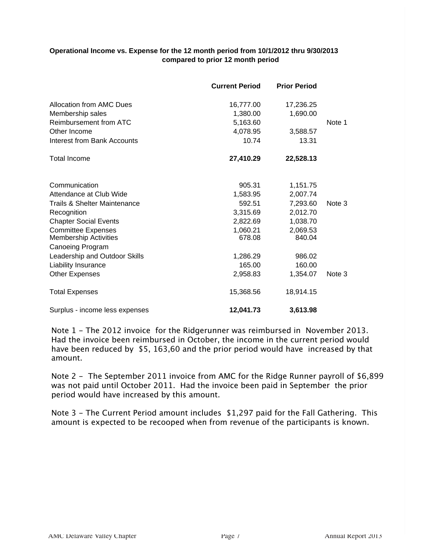#### **Operational Income vs. Expense for the 12 month period from 10/1/2012 thru 9/30/2013 compared to prior 12 month period**

|                                         | <b>Current Period</b> | <b>Prior Period</b> |        |
|-----------------------------------------|-----------------------|---------------------|--------|
| Allocation from AMC Dues                | 16,777.00             | 17,236.25           |        |
| Membership sales                        | 1,380.00              | 1,690.00            |        |
| Reimbursement from ATC                  | 5,163.60              |                     | Note 1 |
| Other Income                            | 4,078.95              | 3,588.57            |        |
| <b>Interest from Bank Accounts</b>      | 10.74                 | 13.31               |        |
| <b>Total Income</b>                     | 27,410.29             | 22,528.13           |        |
| Communication                           | 905.31                | 1,151.75            |        |
| Attendance at Club Wide                 | 1,583.95              | 2,007.74            |        |
| <b>Trails &amp; Shelter Maintenance</b> | 592.51                | 7,293.60            | Note 3 |
| Recognition                             | 3,315.69              | 2,012.70            |        |
| <b>Chapter Social Events</b>            | 2,822.69              | 1,038.70            |        |
| <b>Committee Expenses</b>               | 1,060.21              | 2,069.53            |        |
| <b>Membership Activities</b>            | 678.08                | 840.04              |        |
| <b>Canoeing Program</b>                 |                       |                     |        |
| Leadership and Outdoor Skills           | 1,286.29              | 986.02              |        |
| Liability Insurance                     | 165.00                | 160.00              |        |
| <b>Other Expenses</b>                   | 2,958.83              | 1,354.07            | Note 3 |
| <b>Total Expenses</b>                   | 15,368.56             | 18,914.15           |        |
| Surplus - income less expenses          | 12,041.73             | 3,613.98            |        |

Note 1 - The 2012 invoice for the Ridgerunner was reimbursed in November 2013. Had the invoice been reimbursed in October, the income in the current period would have been reduced by \$5, 163,60 and the prior period would have increased by that amount.

Note 2 - The September 2011 invoice from AMC for the Ridge Runner payroll of \$6,899 was not paid until October 2011. Had the invoice been paid in September the prior period would have increased by this amount.

Note 3 - The Current Period amount includes \$1,297 paid for the Fall Gathering. This amount is expected to be recooped when from revenue of the participants is known.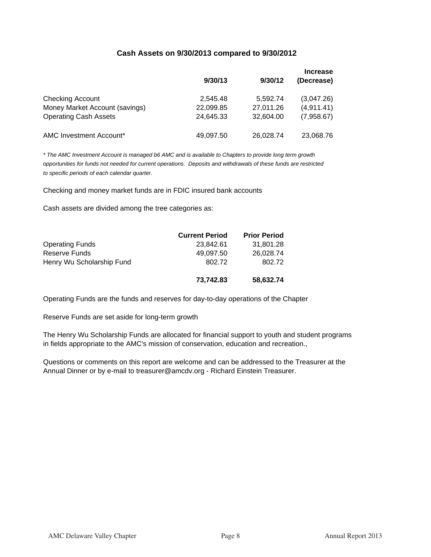#### **Cash Assets on 9/30/2013 compared to 9/30/2012**

|                                | 9/30/13   | 9/30/12   | <b>Increase</b><br>(Decrease) |
|--------------------------------|-----------|-----------|-------------------------------|
| <b>Checking Account</b>        | 2,545.48  | 5,592.74  | (3,047.26)                    |
| Money Market Account (savings) | 22,099.85 | 27,011.26 | (4,911.41)                    |
| <b>Operating Cash Assets</b>   | 24,645.33 | 32,604.00 | (7,958.67)                    |
| AMC Investment Account*        | 49,097.50 | 26,028.74 | 23,068.76                     |

*\* The AMC Investment Account is managed b6 AMC and is available to Chapters to provide long term growth opportunities for funds not needed for current operations. Deposits and withdrawals of these funds are restricted to specific periods of each calendar quarter.* 

Checking and money market funds are in FDIC insured bank accounts

Cash assets are divided among the tree categories as:

|                           | <b>Current Period</b> | <b>Prior Period</b> |
|---------------------------|-----------------------|---------------------|
| <b>Operating Funds</b>    | 23.842.61             | 31,801.28           |
| Reserve Funds             | 49,097.50             | 26,028.74           |
| Henry Wu Scholarship Fund | 802.72                | 802.72              |
|                           |                       |                     |
|                           | 73.742.83             | 58,632.74           |

Operating Funds are the funds and reserves for day-to-day operations of the Chapter

Reserve Funds are set aside for long-term growth

The Henry Wu Scholarship Funds are allocated for financial support to youth and student programs in fields appropriate to the AMC's mission of conservation, education and recreation.,

Questions or comments on this report are welcome and can be addressed to the Treasurer at the Annual Dinner or by e-mail to treasurer@amcdv.org - Richard Einstein Treasurer.